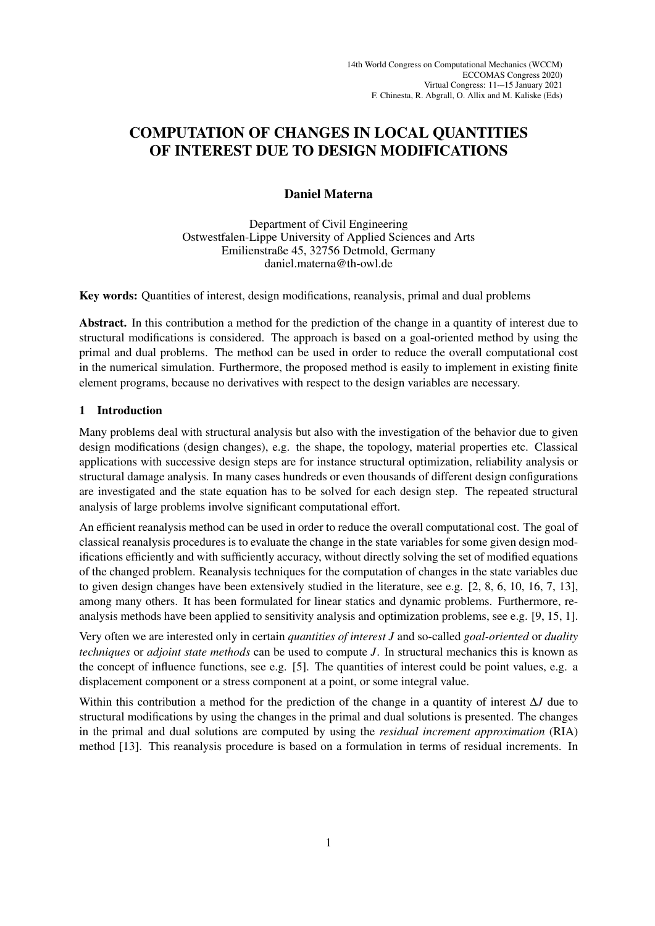## COMPUTATION OF CHANGES IN LOCAL QUANTITIES OF INTEREST DUE TO DESIGN MODIFICATIONS

## Daniel Materna

Department of Civil Engineering Ostwestfalen-Lippe University of Applied Sciences and Arts Emilienstraße 45, 32756 Detmold, Germany daniel.materna@th-owl.de

Key words: Quantities of interest, design modifications, reanalysis, primal and dual problems

Abstract. In this contribution a method for the prediction of the change in a quantity of interest due to structural modifications is considered. The approach is based on a goal-oriented method by using the primal and dual problems. The method can be used in order to reduce the overall computational cost in the numerical simulation. Furthermore, the proposed method is easily to implement in existing finite element programs, because no derivatives with respect to the design variables are necessary.

## 1 Introduction

Many problems deal with structural analysis but also with the investigation of the behavior due to given design modifications (design changes), e.g. the shape, the topology, material properties etc. Classical applications with successive design steps are for instance structural optimization, reliability analysis or structural damage analysis. In many cases hundreds or even thousands of different design configurations are investigated and the state equation has to be solved for each design step. The repeated structural analysis of large problems involve significant computational effort.

An efficient reanalysis method can be used in order to reduce the overall computational cost. The goal of classical reanalysis procedures is to evaluate the change in the state variables for some given design modifications efficiently and with sufficiently accuracy, without directly solving the set of modified equations of the changed problem. Reanalysis techniques for the computation of changes in the state variables due to given design changes have been extensively studied in the literature, see e.g. [2, 8, 6, 10, 16, 7, 13], among many others. It has been formulated for linear statics and dynamic problems. Furthermore, reanalysis methods have been applied to sensitivity analysis and optimization problems, see e.g. [9, 15, 1].

Very often we are interested only in certain *quantities of interest J* and so-called *goal-oriented* or *duality techniques* or *adjoint state methods* can be used to compute *J*. In structural mechanics this is known as the concept of influence functions, see e.g. [5]. The quantities of interest could be point values, e.g. a displacement component or a stress component at a point, or some integral value.

Within this contribution a method for the prediction of the change in a quantity of interest ∆*J* due to structural modifications by using the changes in the primal and dual solutions is presented. The changes in the primal and dual solutions are computed by using the *residual increment approximation* (RIA) method [13]. This reanalysis procedure is based on a formulation in terms of residual increments. In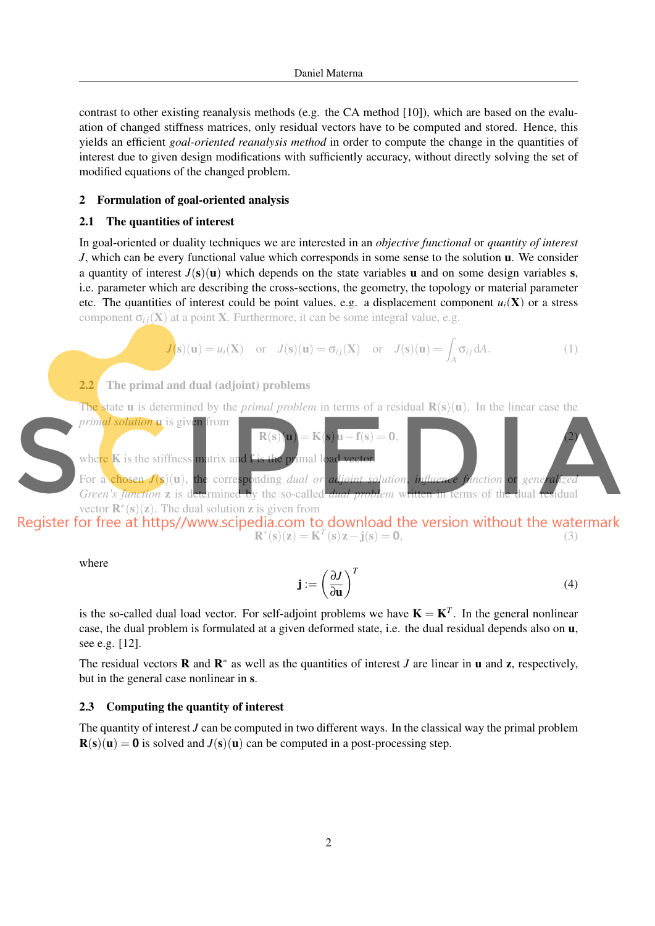contrast to other existing reanalysis methods (e.g. the CA method [10]), which are based on the evaluation of changed stiffness matrices, only residual vectors have to be computed and stored. Hence, this yields an efficient *goal-oriented reanalysis method* in order to compute the change in the quantities of interest due to given design modifications with sufficiently accuracy, without directly solving the set of modified equations of the changed problem.

### 2 Formulation of goal-oriented analysis

### 2.1 The quantities of interest

In goal-oriented or duality techniques we are interested in an *objective functional* or *quantity of interest J*, which can be every functional value which corresponds in some sense to the solution **u**. We consider a quantity of interest  $J(s)(u)$  which depends on the state variables u and on some design variables s, i.e. parameter which are describing the cross-sections, the geometry, the topology or material parameter etc. The quantities of interest could be point values, e.g. a displacement component  $u_i(\mathbf{X})$  or a stress component  $\sigma_{ij}(\mathbf{X})$  at a point **X**. Furthermore, it can be some integral value, e.g.

$$
J(s)(u) = u_i(X) \text{ or } J(s)(u) = \sigma_{ij}(X) \text{ or } J(s)(u) = \int_A \sigma_{ij} dA.
$$
 (1)

## 2.2 The primal and dual (adjoint) problems

The state u is determined by the *primal problem* in terms of a residual  $R(s)(u)$ . In the linear case the *primal solution* u is given from



 $\mathbf{R}^*(\mathbf{s})(\mathbf{z}) = \mathbf{K}^T(\mathbf{s})\mathbf{z} - \mathbf{j}(\mathbf{s}) = \mathbf{0},$  (3)

where

$$
\mathbf{j} := \left(\frac{\partial J}{\partial \mathbf{u}}\right)^T \tag{4}
$$

is the so-called dual load vector. For self-adjoint problems we have  $K = K^T$ . In the general nonlinear case, the dual problem is formulated at a given deformed state, i.e. the dual residual depends also on u, see e.g. [12].

The residual vectors **R** and  $\mathbb{R}^*$  as well as the quantities of interest *J* are linear in **u** and **z**, respectively, but in the general case nonlinear in s.

### 2.3 Computing the quantity of interest

The quantity of interest *J* can be computed in two different ways. In the classical way the primal problem  $R(s)(u) = 0$  is solved and  $J(s)(u)$  can be computed in a post-processing step.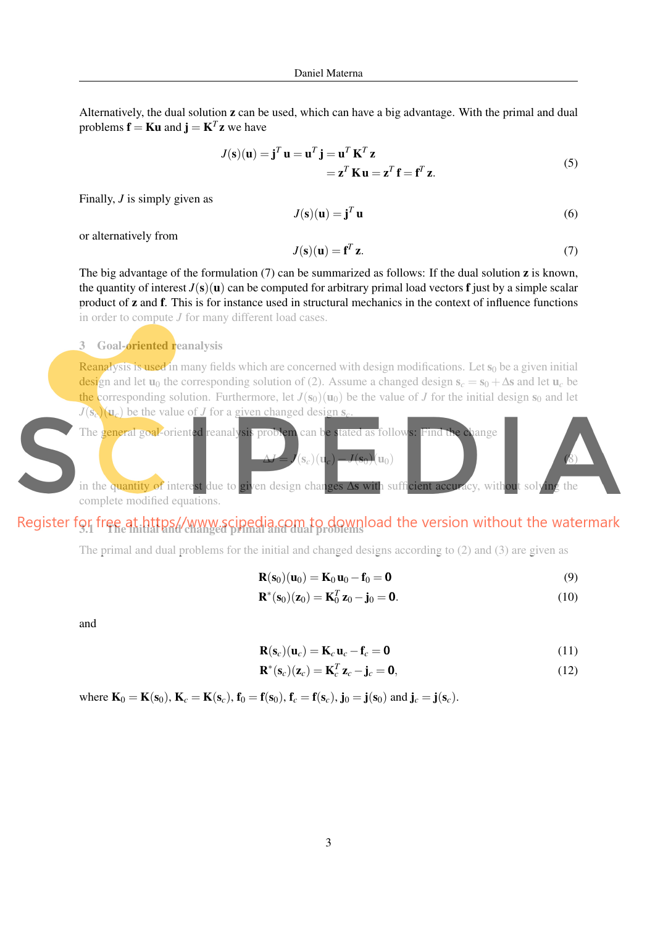Alternatively, the dual solution z can be used, which can have a big advantage. With the primal and dual problems  $\mathbf{f} = \mathbf{K} \mathbf{u}$  and  $\mathbf{j} = \mathbf{K}^T \mathbf{z}$  we have

$$
J(\mathbf{s})(\mathbf{u}) = \mathbf{j}^T \mathbf{u} = \mathbf{u}^T \mathbf{j} = \mathbf{u}^T \mathbf{K}^T \mathbf{z}
$$
  
=  $\mathbf{z}^T \mathbf{K} \mathbf{u} = \mathbf{z}^T \mathbf{f} = \mathbf{f}^T \mathbf{z}.$  (5)

Finally, *J* is simply given as

$$
J(\mathbf{s})(\mathbf{u}) = \mathbf{j}^T \mathbf{u} \tag{6}
$$

or alternatively from

$$
J(\mathbf{s})(\mathbf{u}) = \mathbf{f}^T \mathbf{z}.\tag{7}
$$

The big advantage of the formulation  $(7)$  can be summarized as follows: If the dual solution **z** is known, the quantity of interest  $J(s)(u)$  can be computed for arbitrary primal load vectors **f** just by a simple scalar product of z and f. This is for instance used in structural mechanics in the context of influence functions in order to compute *J* for many different load cases.

### 3 Goal-**oriented reanalysis**

**Reanalysis is used in** many fields which are concerned with design modifications. Let  $s_0$  be a given initial design and let u<sub>0</sub> the corresponding solution of (2). Assume a changed design  $s_c = s_0 + \Delta s$  and let u<sub>c</sub> be the corresponding solution. Furthermore, let  $J(s_0)(u_0)$  be the value of *J* for the initial design  $s_0$  and let  $J(\mathbf{s}_c)(\mathbf{u}_c)$  be the value of *J* for a given changed design s<sub>c</sub>



# Register for free at https//www.scipedia.com to download the version without the watermark

The primal and dual problems for the initial and changed designs according to (2) and (3) are given as

$$
\mathbf{R}(\mathbf{s}_0)(\mathbf{u}_0) = \mathbf{K}_0 \mathbf{u}_0 - \mathbf{f}_0 = \mathbf{0} \tag{9}
$$

$$
\mathbf{R}^*(\mathbf{s}_0)(\mathbf{z}_0) = \mathbf{K}_0^T \mathbf{z}_0 - \mathbf{j}_0 = \mathbf{0}.
$$
 (10)

and

$$
\mathbf{R}(\mathbf{s}_c)(\mathbf{u}_c) = \mathbf{K}_c \mathbf{u}_c - \mathbf{f}_c = \mathbf{0} \tag{11}
$$

$$
\mathbf{R}^*(\mathbf{s}_c)(\mathbf{z}_c) = \mathbf{K}_c^T \mathbf{z}_c - \mathbf{j}_c = \mathbf{0},\tag{12}
$$

where  $\mathbf{K}_0 = \mathbf{K}(\mathbf{s}_0)$ ,  $\mathbf{K}_c = \mathbf{K}(\mathbf{s}_c)$ ,  $\mathbf{f}_0 = \mathbf{f}(\mathbf{s}_0)$ ,  $\mathbf{f}_c = \mathbf{f}(\mathbf{s}_c)$ ,  $\mathbf{j}_0 = \mathbf{j}(\mathbf{s}_0)$  and  $\mathbf{j}_c = \mathbf{j}(\mathbf{s}_c)$ .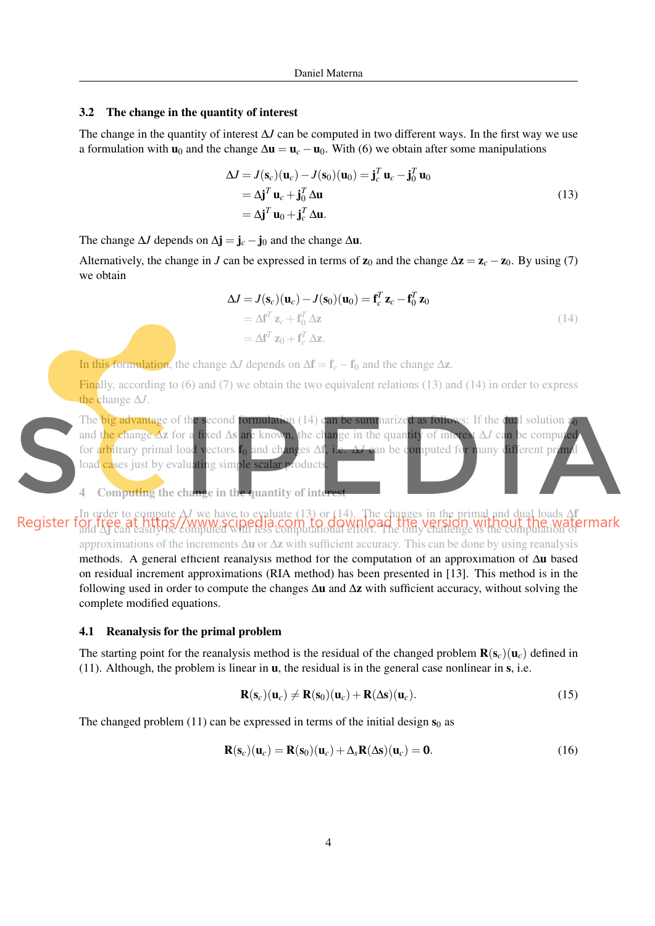### 3.2 The change in the quantity of interest

The change in the quantity of interest ∆*J* can be computed in two different ways. In the first way we use a formulation with  $\mathbf{u}_0$  and the change  $\Delta \mathbf{u} = \mathbf{u}_c - \mathbf{u}_0$ . With (6) we obtain after some manipulations

$$
\Delta J = J(\mathbf{s}_c)(\mathbf{u}_c) - J(\mathbf{s}_0)(\mathbf{u}_0) = \mathbf{j}_c^T \mathbf{u}_c - \mathbf{j}_0^T \mathbf{u}_0
$$
  
=  $\Delta \mathbf{j}^T \mathbf{u}_c + \mathbf{j}_0^T \Delta \mathbf{u}$   
=  $\Delta \mathbf{j}^T \mathbf{u}_0 + \mathbf{j}_c^T \Delta \mathbf{u}$ . (13)

The change  $\Delta J$  depends on  $\Delta \mathbf{j} = \mathbf{j}_c - \mathbf{j}_0$  and the change  $\Delta \mathbf{u}$ .

Alternatively, the change in *J* can be expressed in terms of  $z_0$  and the change  $\Delta z = z_c - z_0$ . By using (7) we obtain

$$
\Delta J = J(\mathbf{s}_c)(\mathbf{u}_c) - J(\mathbf{s}_0)(\mathbf{u}_0) = \mathbf{f}_c^T \mathbf{z}_c - \mathbf{f}_0^T \mathbf{z}_0
$$
  
=  $\Delta \mathbf{f}^T \mathbf{z}_c + \mathbf{f}_0^T \Delta \mathbf{z}$   
=  $\Delta \mathbf{f}^T \mathbf{z}_0 + \mathbf{f}_c^T \Delta \mathbf{z}$ . (14)

In this formulation, the change  $\Delta J$  depends on  $\Delta f = f_c - f_0$  and the change  $\Delta z$ .

Finally, according to (6) and (7) we obtain the two equivalent relations (13) and (14) in order to express the change ∆*J*.



4 Computing the change in the quantity of inte

In order to compute ∆*J* we have to evaluate (13) or (14). The changes in the primal and dual loads ∆f and ∆j can easily be computed with less computational effort. The only challenge is the computation of approximations of the increments ∆u or ∆z with sufficient accuracy. This can be done by using reanalysis methods. A general efficient reanalysis method for the computation of an approximation of ∆u based on residual increment approximations (RIA method) has been presented in [13]. This method is in the following used in order to compute the changes  $\Delta u$  and  $\Delta z$  with sufficient accuracy, without solving the complete modified equations.

#### 4.1 Reanalysis for the primal problem

The starting point for the reanalysis method is the residual of the changed problem  $\mathbf{R}(\mathbf{s}_c)(\mathbf{u}_c)$  defined in (11). Although, the problem is linear in  $\bf{u}$ , the residual is in the general case nonlinear in  $\bf{s}$ , i.e.

$$
\mathbf{R}(\mathbf{s}_c)(\mathbf{u}_c) \neq \mathbf{R}(\mathbf{s}_0)(\mathbf{u}_c) + \mathbf{R}(\Delta \mathbf{s})(\mathbf{u}_c).
$$
 (15)

The changed problem (11) can be expressed in terms of the initial design  $s_0$  as

$$
\mathbf{R}(\mathbf{s}_c)(\mathbf{u}_c) = \mathbf{R}(\mathbf{s}_0)(\mathbf{u}_c) + \Delta_s \mathbf{R}(\Delta \mathbf{s})(\mathbf{u}_c) = \mathbf{0}.
$$
 (16)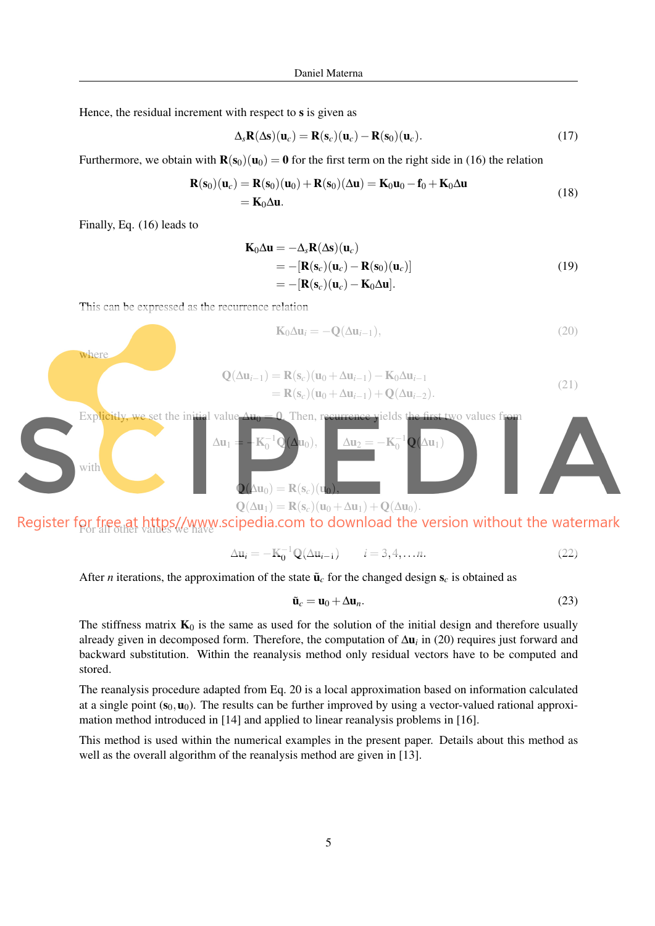Hence, the residual increment with respect to s is given as

$$
\Delta_s \mathbf{R}(\Delta \mathbf{s}) (\mathbf{u}_c) = \mathbf{R}(\mathbf{s}_c) (\mathbf{u}_c) - \mathbf{R}(\mathbf{s}_0) (\mathbf{u}_c).
$$
 (17)

Furthermore, we obtain with  $\mathbf{R}(s_0)(u_0) = \mathbf{0}$  for the first term on the right side in (16) the relation

$$
\mathbf{R}(\mathbf{s}_0)(\mathbf{u}_c) = \mathbf{R}(\mathbf{s}_0)(\mathbf{u}_0) + \mathbf{R}(\mathbf{s}_0)(\Delta \mathbf{u}) = \mathbf{K}_0 \mathbf{u}_0 - \mathbf{f}_0 + \mathbf{K}_0 \Delta \mathbf{u}
$$
  
=  $\mathbf{K}_0 \Delta \mathbf{u}$ . (18)

Finally, Eq. (16) leads to

where

$$
\mathbf{K}_0 \Delta \mathbf{u} = -\Delta_s \mathbf{R} (\Delta \mathbf{s}) (\mathbf{u}_c)
$$
  
= -[\mathbf{R}(\mathbf{s}\_c)(\mathbf{u}\_c) - \mathbf{R}(\mathbf{s}\_0)(\mathbf{u}\_c)]  
= -[\mathbf{R}(\mathbf{s}\_c)(\mathbf{u}\_c) - \mathbf{K}\_0 \Delta \mathbf{u}]. \t(19)

This can be expressed as the recurrence relation

$$
\mathbf{K}_0 \Delta \mathbf{u}_i = -\mathbf{Q}(\Delta \mathbf{u}_{i-1}),\tag{20}
$$

$$
\mathbf{Q}(\Delta \mathbf{u}_{i-1}) = \mathbf{R}(\mathbf{s}_c)(\mathbf{u}_0 + \Delta \mathbf{u}_{i-1}) - \mathbf{K}_0 \Delta \mathbf{u}_{i-1}
$$
  
=  $\mathbf{R}(\mathbf{s}_c)(\mathbf{u}_0 + \Delta \mathbf{u}_{i-1}) + \mathbf{Q}(\Delta \mathbf{u}_{i-2}).$  (21)



Register for free at https://www.scipedia.com to download the version without the watermark

$$
\Delta \mathbf{u}_i = -\mathbf{K}_0^{-1} \mathbf{Q}(\Delta \mathbf{u}_{i-1}) \qquad i = 3, 4, \dots n. \tag{22}
$$

After *n* iterations, the approximation of the state  $\tilde{u}_c$  for the changed design  $s_c$  is obtained as

$$
\tilde{\mathbf{u}}_c = \mathbf{u}_0 + \Delta \mathbf{u}_n. \tag{23}
$$

The stiffness matrix  $K_0$  is the same as used for the solution of the initial design and therefore usually already given in decomposed form. Therefore, the computation of ∆u*<sup>i</sup>* in (20) requires just forward and backward substitution. Within the reanalysis method only residual vectors have to be computed and stored.

The reanalysis procedure adapted from Eq. 20 is a local approximation based on information calculated at a single point  $(s_0, u_0)$ . The results can be further improved by using a vector-valued rational approximation method introduced in [14] and applied to linear reanalysis problems in [16].

This method is used within the numerical examples in the present paper. Details about this method as well as the overall algorithm of the reanalysis method are given in [13].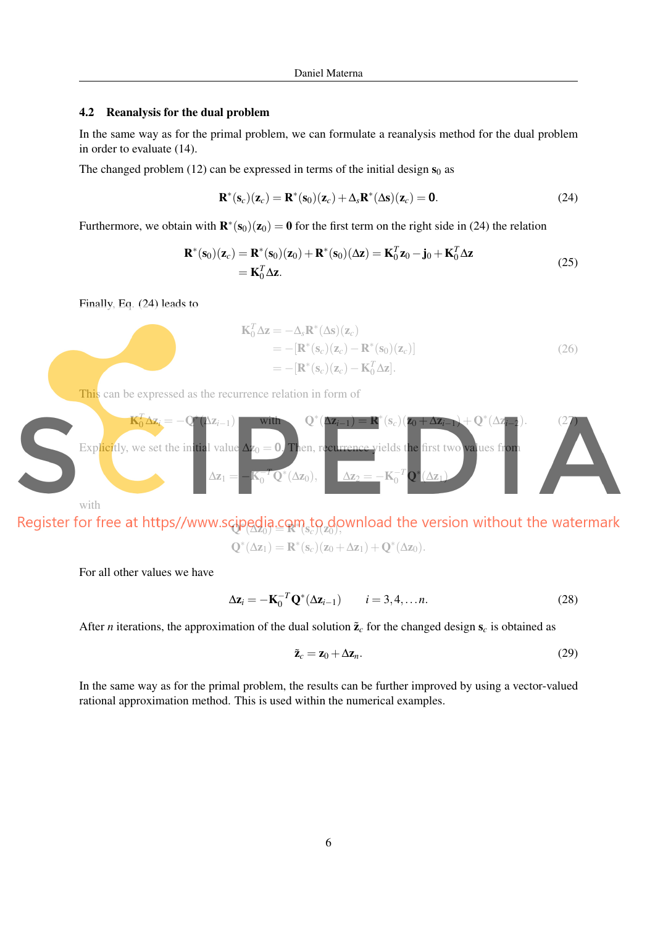### 4.2 Reanalysis for the dual problem

In the same way as for the primal problem, we can formulate a reanalysis method for the dual problem in order to evaluate (14).

The changed problem (12) can be expressed in terms of the initial design  $s_0$  as

$$
\mathbf{R}^*(\mathbf{s}_c)(\mathbf{z}_c) = \mathbf{R}^*(\mathbf{s}_0)(\mathbf{z}_c) + \Delta_s \mathbf{R}^*(\Delta \mathbf{s})(\mathbf{z}_c) = \mathbf{0}.
$$
 (24)

Furthermore, we obtain with  $\mathbf{R}^*(\mathbf{s}_0)(\mathbf{z}_0) = \mathbf{0}$  for the first term on the right side in (24) the relation

$$
\mathbf{R}^*(\mathbf{s}_0)(\mathbf{z}_c) = \mathbf{R}^*(\mathbf{s}_0)(\mathbf{z}_0) + \mathbf{R}^*(\mathbf{s}_0)(\Delta \mathbf{z}) = \mathbf{K}_0^T \mathbf{z}_0 - \mathbf{j}_0 + \mathbf{K}_0^T \Delta \mathbf{z}
$$
  
=  $\mathbf{K}_0^T \Delta \mathbf{z}$ . (25)

Finally, Eq. (24) leads to

$$
\mathbf{K}_0^T \Delta \mathbf{z} = -\Delta_s \mathbf{R}^* (\Delta \mathbf{s}) (\mathbf{z}_c)
$$
  
= -[\mathbf{R}^\* (\mathbf{s}\_c) (\mathbf{z}\_c) - \mathbf{R}^\* (\mathbf{s}\_0) (\mathbf{z}\_c)]  
= -[\mathbf{R}^\* (\mathbf{s}\_c) (\mathbf{z}\_c) - \mathbf{K}\_0^T \Delta \mathbf{z}]. (26)

This can be expressed as the recurrence relation in form of



 $\Phi$ ( $\Delta z_0$ ) =  $\mathbf{R}$ <sup>n</sup>( $s_c$ )( $z_0$ ),  $\mathbf{Q}^*(\Delta z_1) = \mathbf{R}^*(\mathbf{s}_c)(z_0 + \Delta z_1) + \mathbf{Q}^*(\Delta z_0).$ 

For all other values we have

$$
\Delta \mathbf{z}_i = -\mathbf{K}_0^{-T} \mathbf{Q}^* (\Delta \mathbf{z}_{i-1}) \qquad i = 3, 4, \dots n. \tag{28}
$$

After *n* iterations, the approximation of the dual solution  $\tilde{z}_c$  for the changed design  $s_c$  is obtained as

$$
\tilde{\mathbf{z}}_c = \mathbf{z}_0 + \Delta \mathbf{z}_n. \tag{29}
$$

In the same way as for the primal problem, the results can be further improved by using a vector-valued rational approximation method. This is used within the numerical examples.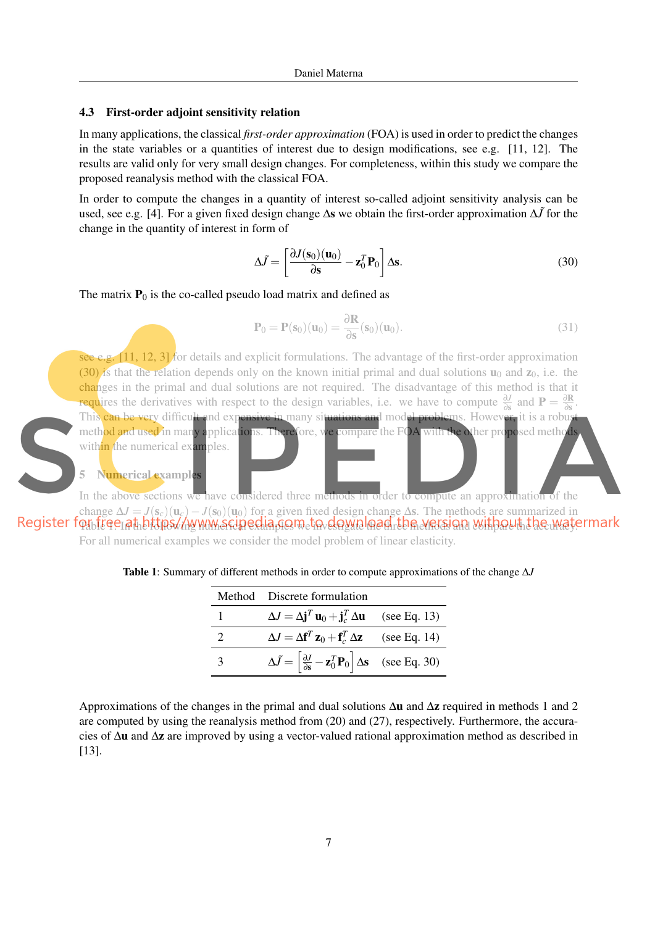### 4.3 First-order adjoint sensitivity relation

In many applications, the classical *first-order approximation* (FOA) is used in order to predict the changes in the state variables or a quantities of interest due to design modifications, see e.g. [11, 12]. The results are valid only for very small design changes. For completeness, within this study we compare the proposed reanalysis method with the classical FOA.

In order to compute the changes in a quantity of interest so-called adjoint sensitivity analysis can be used, see e.g. [4]. For a given fixed design change ∆s we obtain the first-order approximation ∆*J*˜for the change in the quantity of interest in form of

$$
\Delta \tilde{J} = \left[ \frac{\partial J(\mathbf{s}_0)(\mathbf{u}_0)}{\partial \mathbf{s}} - \mathbf{z}_0^T \mathbf{P}_0 \right] \Delta \mathbf{s}.
$$
 (30)

The matrix  $P_0$  is the co-called pseudo load matrix and defined as

$$
\mathbf{P}_0 = \mathbf{P}(\mathbf{s}_0)(\mathbf{u}_0) = \frac{\partial \mathbf{R}}{\partial \mathbf{s}}(\mathbf{s}_0)(\mathbf{u}_0).
$$
 (31)

see e.g.  $[11, 12, 3]$  for details and explicit formulations. The advantage of the first-order approximation (30) is that the relation depends only on the known initial primal and dual solutions  $\mathbf{u}_0$  and  $\mathbf{z}_0$ , i.e. the changes in the primal and dual solutions are not required. The disadvantage of this method is that it requires the derivatives with respect to the design variables, i.e. we have to compute  $\frac{\partial J}{\partial s}$  and  $P = \frac{\partial R}{\partial s}$  $\frac{\partial \mathbf{K}}{\partial \mathbf{s}}$ . This can be very difficult and expensive in many situations and model problems. However, it is a robus method and used in many applications. Therefore, we compare the FOA with the other proposed methods within the numerical examples.

Numerical examples

In the above sections we have considered three methods in order to compute an approximation of the change  $\Delta J = J(s_c)(u_c) - J(s_0)(u_0)$  for a given fixed design change  $\Delta s$ . The methods are summarized in Register for free at bittps//www.scipedia.gom.to.download.tbe version without the watermark

For all numerical examples we consider the model problem of linear elasticity.

|   | Method Discrete formulation                                                                                           |  |
|---|-----------------------------------------------------------------------------------------------------------------------|--|
|   | $\Delta J = \Delta \mathbf{j}^T \mathbf{u}_0 + \mathbf{j}_c^T \Delta \mathbf{u}$ (see Eq. 13)                         |  |
|   | $\Delta J = \Delta f^T \mathbf{z}_0 + \mathbf{f}_c^T \Delta \mathbf{z}$ (see Eq. 14)                                  |  |
| κ | $\Delta \tilde{J} = \left[ \frac{\partial J}{\partial s} - \mathbf{z}_0^T \mathbf{P}_0 \right] \Delta s$ (see Eq. 30) |  |

Table 1: Summary of different methods in order to compute approximations of the change ∆*J*

Approximations of the changes in the primal and dual solutions ∆u and ∆z required in methods 1 and 2 are computed by using the reanalysis method from (20) and (27), respectively. Furthermore, the accuracies of ∆u and ∆z are improved by using a vector-valued rational approximation method as described in [13].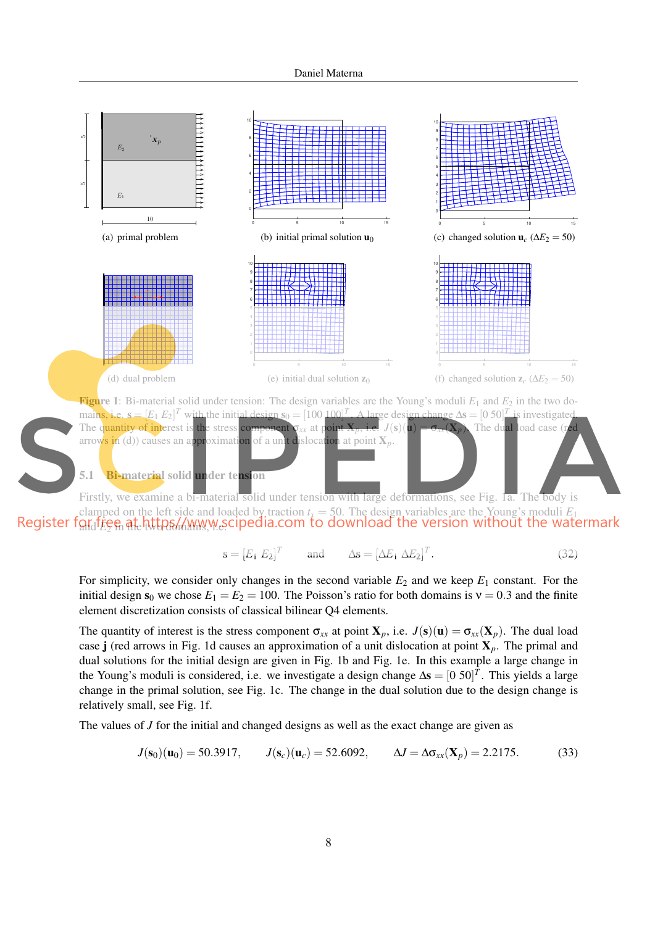

and *E*2 <del>in the two domains, w.e.</del>

$$
\mathbf{s} = [E_1 \ E_2]^T \qquad \text{and} \qquad \Delta \mathbf{s} = [\Delta E_1 \ \Delta E_2]^T. \tag{32}
$$

For simplicity, we consider only changes in the second variable  $E_2$  and we keep  $E_1$  constant. For the initial design  $s_0$  we chose  $E_1 = E_2 = 100$ . The Poisson's ratio for both domains is  $v = 0.3$  and the finite element discretization consists of classical bilinear Q4 elements.

The quantity of interest is the stress component  $\sigma_{xx}$  at point  $X_p$ , i.e.  $J(s)(u) = \sigma_{xx}(X_p)$ . The dual load case j (red arrows in Fig. 1d causes an approximation of a unit dislocation at point X*p*. The primal and dual solutions for the initial design are given in Fig. 1b and Fig. 1e. In this example a large change in the Young's moduli is considered, i.e. we investigate a design change  $\Delta s = [0 \ 50]^T$ . This yields a large change in the primal solution, see Fig. 1c. The change in the dual solution due to the design change is relatively small, see Fig. 1f.

The values of *J* for the initial and changed designs as well as the exact change are given as

$$
J(\mathbf{s}_0)(\mathbf{u}_0) = 50.3917
$$
,  $J(\mathbf{s}_c)(\mathbf{u}_c) = 52.6092$ ,  $\Delta J = \Delta \sigma_{xx}(\mathbf{X}_p) = 2.2175$ . (33)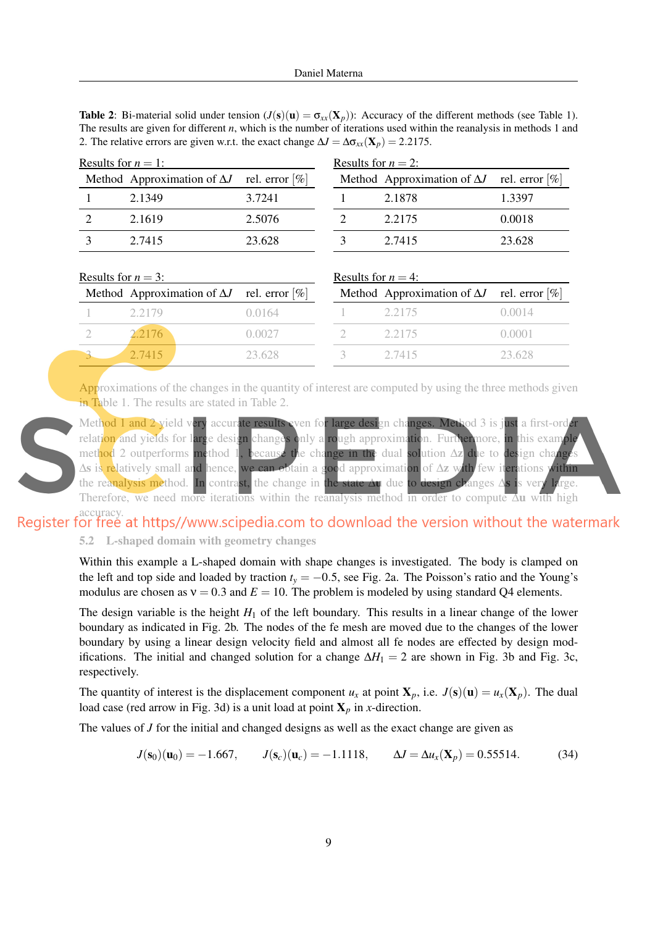**Table 2:** Bi-material solid under tension  $(J(s)(u) = \sigma_{xx}(X_n))$ : Accuracy of the different methods (see Table 1). The results are given for different *n*, which is the number of iterations used within the reanalysis in methods 1 and 2. The relative errors are given w.r.t. the exact change  $\Delta J = \Delta \sigma_{xx}(\mathbf{X}_p) = 2.2175$ .

| Results for $n = 1$ : |                                                   | Results for $n = 2$ : |  |                                                   |        |
|-----------------------|---------------------------------------------------|-----------------------|--|---------------------------------------------------|--------|
|                       | Method Approximation of $\Delta J$ rel. error [%] |                       |  | Method Approximation of $\Delta J$ rel. error [%] |        |
|                       | 2.1349                                            | 3.7241                |  | 2.1878                                            | 1.3397 |
|                       | 2.1619                                            | 2.5076                |  | 2.2175                                            | 0.0018 |
|                       | 2.7415                                            | 23.628                |  | 2.7415                                            | 23.628 |

| Results for $n = 3$ : |                                                   |           | Results for $n = 4$ : |                                                   |                   |  |
|-----------------------|---------------------------------------------------|-----------|-----------------------|---------------------------------------------------|-------------------|--|
|                       | Method Approximation of $\Delta J$ rel. error [%] |           |                       | Method Approximation of $\Delta J$ rel. error [%] |                   |  |
|                       | 2.2179                                            | () () 164 |                       | 2.2175                                            | ( ) . ( ) ( ) 1 4 |  |
|                       | 2.2176                                            | 0.0027    |                       | 2.2175                                            | 0.0001            |  |
|                       | 2.7415                                            | 23.628    |                       | 2.7415                                            | 23.628            |  |

Approximations of the changes in the quantity of interest are computed by using the three methods given in Table 1. The results are stated in Table 2.

Method 1 and 2 yield very accurate results even for large design changes. Method 3 is just a first-order relation and yields for large design changes only a rough approximation. Furthermore, in this example method 2 outperforms method 1, because the change in the dual solution ∆z due to design changes ∆s is relatively small and hence, we can obtain a good approximation of ∆z with few iterations within the reanalysis method. In contrast, the change in the state ∆u due to design changes ∆s is very large. Therefore, we need more iterations within the reanalysis method in order to compute ∆u with high

accuracy.<br>Register for free at https//www.scipedia.com to download the version without the watermark

## 5.2 L-shaped domain with geometry changes

Within this example a L-shaped domain with shape changes is investigated. The body is clamped on the left and top side and loaded by traction  $t<sub>y</sub> = -0.5$ , see Fig. 2a. The Poisson's ratio and the Young's modulus are chosen as  $v = 0.3$  and  $E = 10$ . The problem is modeled by using standard Q4 elements.

The design variable is the height  $H_1$  of the left boundary. This results in a linear change of the lower boundary as indicated in Fig. 2b. The nodes of the fe mesh are moved due to the changes of the lower boundary by using a linear design velocity field and almost all fe nodes are effected by design modifications. The initial and changed solution for a change  $\Delta H_1 = 2$  are shown in Fig. 3b and Fig. 3c, respectively.

The quantity of interest is the displacement component  $u_x$  at point  $\mathbf{X}_p$ , i.e.  $J(\mathbf{s})(\mathbf{u}) = u_x(\mathbf{X}_p)$ . The dual load case (red arrow in Fig. 3d) is a unit load at point  $X_p$  in *x*-direction.

The values of *J* for the initial and changed designs as well as the exact change are given as

$$
J(\mathbf{s}_0)(\mathbf{u}_0) = -1.667
$$
,  $J(\mathbf{s}_c)(\mathbf{u}_c) = -1.1118$ ,  $\Delta J = \Delta u_x(\mathbf{X}_p) = 0.55514$ . (34)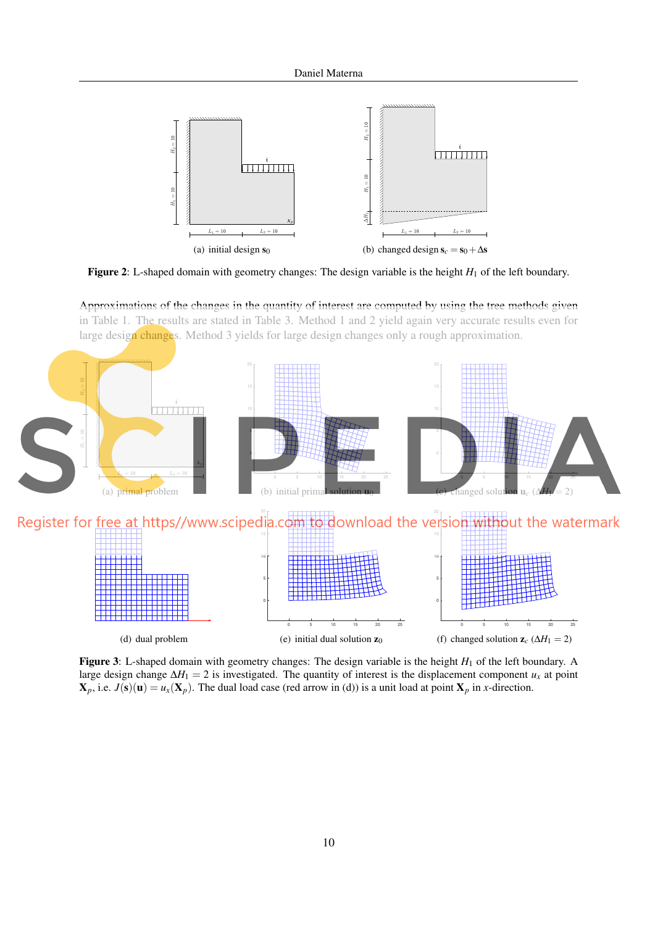

Figure 2: L-shaped domain with geometry changes: The design variable is the height *H*<sub>1</sub> of the left boundary.

Approximations of the changes in the quantity of interest are computed by using the tree methods given in Table 1. The results are stated in Table 3. Method 1 and 2 yield again very accurate results even for large design changes. Method 3 yields for large design changes only a rough approximation.



Figure 3: L-shaped domain with geometry changes: The design variable is the height *H*<sub>1</sub> of the left boundary. A large design change  $\Delta H_1 = 2$  is investigated. The quantity of interest is the displacement component  $u_x$  at point  $\mathbf{X}_p$ , i.e.  $J(\mathbf{s})(\mathbf{u}) = u_x(\mathbf{X}_p)$ . The dual load case (red arrow in (d)) is a unit load at point  $\mathbf{X}_p$  in *x*-direction.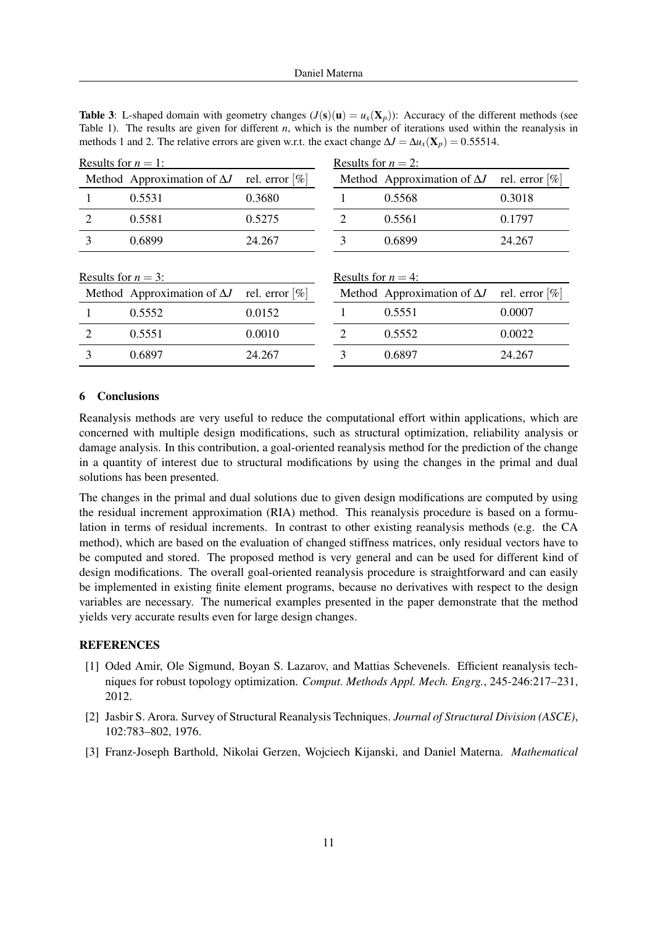**Table 3:** L-shaped domain with geometry changes  $(J(s)(u) = u_x(X_p))$ : Accuracy of the different methods (see Table 1). The results are given for different *n*, which is the number of iterations used within the reanalysis in methods 1 and 2. The relative errors are given w.r.t. the exact change  $\Delta J = \Delta u_x(\mathbf{X}_p) = 0.55514$ .

| Results for $n = 1$ :                          |                                    | Results for $n = 2$ : |   |                                    |                   |
|------------------------------------------------|------------------------------------|-----------------------|---|------------------------------------|-------------------|
|                                                | Method Approximation of $\Delta J$ | rel. error [%]        |   | Method Approximation of $\Delta J$ | rel. error $[\%]$ |
|                                                | 0.5531                             | 0.3680                |   | 0.5568                             | 0.3018            |
| 2                                              | 0.5581                             | 0.5275                | 2 | 0.5561                             | 0.1797            |
| 3                                              | 0.6899                             | 24.267                | 3 | 0.6899                             | 24.267            |
| Results for $n = 3$ :<br>Results for $n = 4$ : |                                    |                       |   |                                    |                   |
|                                                | Method Approximation of $\Delta J$ | rel. error [%]        |   | Method Approximation of $\Delta J$ | rel. error $[\%]$ |
|                                                | 0.5552                             | 0.0152                |   | 0.5551                             | 0.0007            |
| $\mathcal{D}_{\mathcal{L}}$                    | 0.5551                             | 0.0010                | 2 | 0.5552                             | 0.0022            |
| 3                                              | 0.6897                             | 24.267                | 3 | 0.6897                             | 24.267            |
|                                                |                                    |                       |   |                                    |                   |

### 6 Conclusions

Reanalysis methods are very useful to reduce the computational effort within applications, which are concerned with multiple design modifications, such as structural optimization, reliability analysis or damage analysis. In this contribution, a goal-oriented reanalysis method for the prediction of the change in a quantity of interest due to structural modifications by using the changes in the primal and dual solutions has been presented.

The changes in the primal and dual solutions due to given design modifications are computed by using the residual increment approximation (RIA) method. This reanalysis procedure is based on a formulation in terms of residual increments. In contrast to other existing reanalysis methods (e.g. the CA method), which are based on the evaluation of changed stiffness matrices, only residual vectors have to be computed and stored. The proposed method is very general and can be used for different kind of design modifications. The overall goal-oriented reanalysis procedure is straightforward and can easily be implemented in existing finite element programs, because no derivatives with respect to the design variables are necessary. The numerical examples presented in the paper demonstrate that the method yields very accurate results even for large design changes.

### **REFERENCES**

- [1] Oded Amir, Ole Sigmund, Boyan S. Lazarov, and Mattias Schevenels. Efficient reanalysis techniques for robust topology optimization. *Comput. Methods Appl. Mech. Engrg.*, 245-246:217–231, 2012.
- [2] Jasbir S. Arora. Survey of Structural Reanalysis Techniques. *Journal of Structural Division (ASCE)*, 102:783–802, 1976.
- [3] Franz-Joseph Barthold, Nikolai Gerzen, Wojciech Kijanski, and Daniel Materna. *Mathematical*